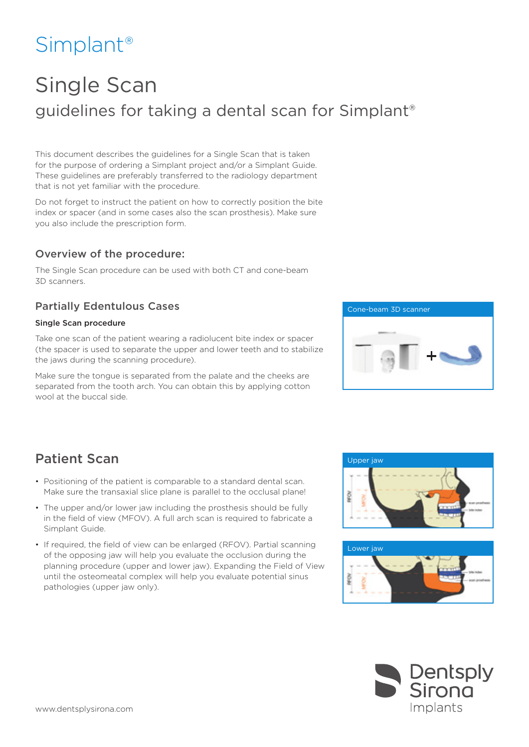# Simplant®

# Single Scan guidelines for taking a dental scan for Simplant®

This document describes the guidelines for a Single Scan that is taken for the purpose of ordering a Simplant project and/or a Simplant Guide. These guidelines are preferably transferred to the radiology department that is not yet familiar with the procedure.

Do not forget to instruct the patient on how to correctly position the bite index or spacer (and in some cases also the scan prosthesis). Make sure you also include the prescription form.

#### Overview of the procedure:

The Single Scan procedure can be used with both CT and cone-beam 3D scanners.

## Partially Edentulous Cases

#### Single Scan procedure

Take one scan of the patient wearing a radiolucent bite index or spacer (the spacer is used to separate the upper and lower teeth and to stabilize the jaws during the scanning procedure).

Make sure the tongue is separated from the palate and the cheeks are separated from the tooth arch. You can obtain this by applying cotton wool at the buccal side.



## Patient Scan Version Control of the Upper jaw

- Positioning of the patient is comparable to a standard dental scan. Make sure the transaxial slice plane is parallel to the occlusal plane!
- The upper and/or lower jaw including the prosthesis should be fully in the field of view (MFOV). A full arch scan is required to fabricate a Simplant Guide.
- If required, the field of view can be enlarged (RFOV). Partial scanning of the opposing jaw will help you evaluate the occlusion during the planning procedure (upper and lower jaw). Expanding the Field of View until the osteomeatal complex will help you evaluate potential sinus pathologies (upper jaw only).